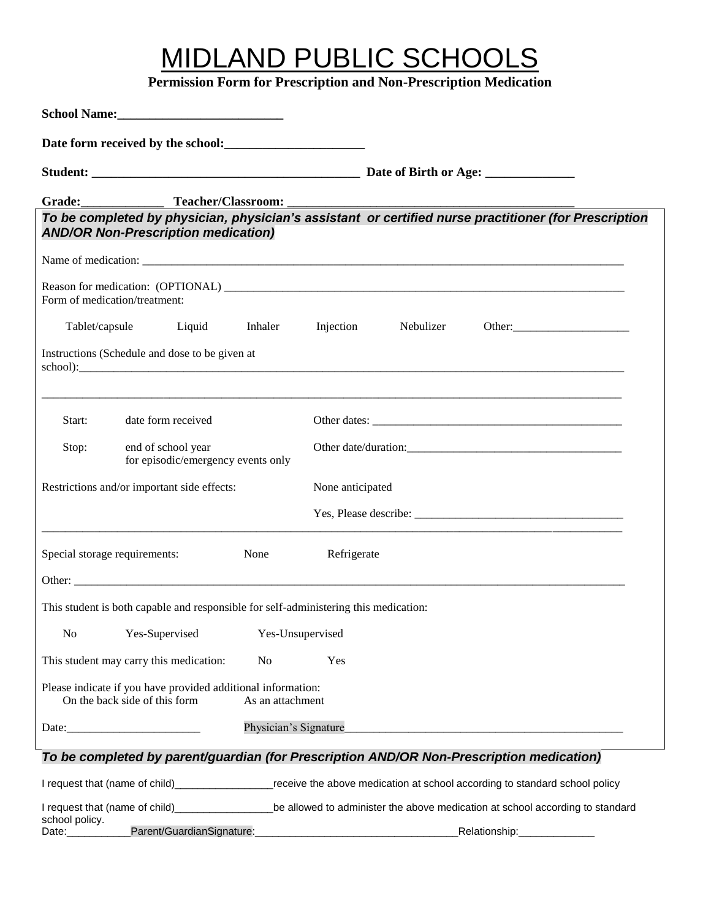# MIDLAND PUBLIC SCHOOLS

**Permission Form for Prescription and Non-Prescription Medication**

| School Name:                                                                                                                  |                    |                                                                                                                                                     |  |                                                                                                       |
|-------------------------------------------------------------------------------------------------------------------------------|--------------------|-----------------------------------------------------------------------------------------------------------------------------------------------------|--|-------------------------------------------------------------------------------------------------------|
| Date form received by the school:<br><u>Date form</u> received by the school:                                                 |                    |                                                                                                                                                     |  |                                                                                                       |
|                                                                                                                               |                    |                                                                                                                                                     |  |                                                                                                       |
|                                                                                                                               |                    |                                                                                                                                                     |  |                                                                                                       |
| <b>AND/OR Non-Prescription medication)</b>                                                                                    |                    |                                                                                                                                                     |  | To be completed by physician, physician's assistant or certified nurse practitioner (for Prescription |
|                                                                                                                               |                    |                                                                                                                                                     |  |                                                                                                       |
| Form of medication/treatment:                                                                                                 |                    |                                                                                                                                                     |  |                                                                                                       |
| Tablet/capsule Liquid Inhaler Injection Nebulizer                                                                             |                    |                                                                                                                                                     |  | Other:                                                                                                |
| Instructions (Schedule and dose to be given at                                                                                |                    |                                                                                                                                                     |  |                                                                                                       |
| Start:                                                                                                                        | date form received |                                                                                                                                                     |  |                                                                                                       |
| Stop:<br>end of school year<br>for episodic/emergency events only                                                             |                    |                                                                                                                                                     |  |                                                                                                       |
| Restrictions and/or important side effects:                                                                                   |                    | None anticipated                                                                                                                                    |  |                                                                                                       |
|                                                                                                                               |                    |                                                                                                                                                     |  |                                                                                                       |
| Special storage requirements:                                                                                                 | None               | Refrigerate                                                                                                                                         |  |                                                                                                       |
|                                                                                                                               |                    |                                                                                                                                                     |  |                                                                                                       |
| This student is both capable and responsible for self-administering this medication:                                          |                    |                                                                                                                                                     |  |                                                                                                       |
| N <sub>o</sub><br>Yes-Supervised<br>Yes-Unsupervised                                                                          |                    |                                                                                                                                                     |  |                                                                                                       |
| This student may carry this medication:                                                                                       | N <sub>o</sub>     | Yes                                                                                                                                                 |  |                                                                                                       |
| Please indicate if you have provided additional information:<br>On the back side of this form                                 | As an attachment   |                                                                                                                                                     |  |                                                                                                       |
| Physician's Signature                                                                                                         |                    |                                                                                                                                                     |  |                                                                                                       |
| To be completed by parent/guardian (for Prescription AND/OR Non-Prescription medication)                                      |                    |                                                                                                                                                     |  |                                                                                                       |
| I request that (name of child)_____________________receive the above medication at school according to standard school policy |                    |                                                                                                                                                     |  |                                                                                                       |
| school policy.<br>Parent/GuardianSignature:<br>Date:                                                                          |                    | I request that (name of child)_______________________be allowed to administer the above medication at school according to standard<br>Relationship: |  |                                                                                                       |

Date:\_\_\_\_\_\_\_\_\_\_\_Parent/GuardianSignature:\_\_\_\_\_\_\_\_\_\_\_\_\_\_\_\_\_\_\_\_\_\_\_\_\_\_\_\_\_\_\_\_\_\_\_Relationship:\_\_\_\_\_\_\_\_\_\_\_\_\_